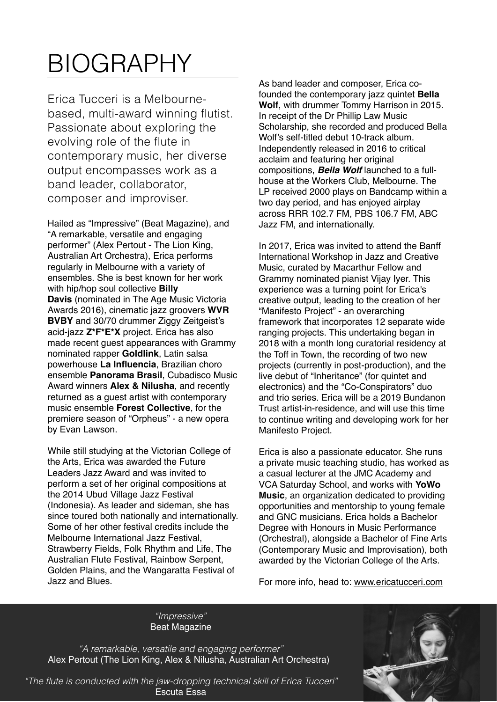## BIOGRAPHY

Erica Tucceri is a Melbournebased, multi-award winning flutist. Passionate about exploring the evolving role of the flute in contemporary music, her diverse output encompasses work as a band leader, collaborator, composer and improviser.

Hailed as "Impressive" (Beat Magazine), and "A remarkable, versatile and engaging performer" (Alex Pertout - The Lion King, Australian Art Orchestra), Erica performs regularly in Melbourne with a variety of ensembles. She is best known for her work with hip/hop soul collective **[Billy](https://www.facebook.com/BLYDVS/)  [Davis](https://www.facebook.com/BLYDVS/)** (nominated in The Age Music Victoria Awards 2016), cinematic jazz groovers **[WVR](https://www.facebook.com/wvrbvby/)  [BVBY](https://www.facebook.com/wvrbvby/)** and 30/70 drummer Ziggy Zeitgeist's acid-jazz **[Z\\*F\\*E\\*X](https://www.facebook.com/Zeitgeist-Freedom-Energy-Exchange-415800778767152/)** project. Erica has also made recent quest appearances with Grammy nominated rapper **[Goldlink](https://www.youtube.com/watch?v=sXZSR1WkE5o)**, Latin salsa powerhouse **La Influencia**, Brazilian choro ensemble **[Panorama Brasil](http://www.panoramadobrasil.com/)**, Cubadisco Music Award winners **[Alex & Nilusha](https://en.wikipedia.org/wiki/Alex_&_Nilusha)**, and recently returned as a guest artist with contemporary music ensemble **[Forest Collective](http://www.forestcollective.com.au/)**, for the premiere season of "Orpheus" - a new opera by Evan Lawson.

While still studying at the Victorian College of the Arts, Erica was awarded the Future Leaders Jazz Award and was invited to perform a set of her original compositions at the 2014 Ubud Village Jazz Festival (Indonesia). As leader and sideman, she has since toured both nationally and internationally. Some of her other festival credits include the Melbourne International Jazz Festival, Strawberry Fields, Folk Rhythm and Life, The Australian Flute Festival, Rainbow Serpent, Golden Plains, and the Wangaratta Festival of Jazz and Blues.

As band leader and composer, Erica cofounded the contemporary jazz quintet **[Bella](http://www.bellawolfmusic.com)  [Wolf](http://www.bellawolfmusic.com)**, with drummer Tommy Harrison in 2015. In receipt of the Dr Phillip Law Music Scholarship, she recorded and produced Bella Wolf's self-titled debut 10-track album. Independently released in 2016 to critical acclaim and featuring her original compositions, *[Bella Wolf](https://bellawolf.bandcamp.com/releases)* launched to a fullhouse at the Workers Club, Melbourne. The LP received 2000 plays on Bandcamp within a two day period, and has enjoyed airplay across RRR 102.7 FM, PBS 106.7 FM, ABC Jazz FM, and internationally.

In 2017, Erica was invited to attend the Banff International Workshop in Jazz and Creative Music, curated by Macarthur Fellow and Grammy nominated pianist Vijay Iyer. This experience was a turning point for Erica's creative output, leading to the creation of her "Manifesto Project" - an overarching framework that incorporates 12 separate wide ranging projects. This undertaking began in 2018 with a month long curatorial residency at the Toff in Town, the recording of two new projects (currently in post-production), and the live debut of "Inheritance" (for quintet and electronics) and the "Co-Conspirators" duo and trio series. Erica will be a 2019 Bundanon Trust artist-in-residence, and will use this time to continue writing and developing work for her Manifesto Project.

Erica is also a passionate educator. She runs a private music teaching studio, has worked as a casual lecturer at the JMC Academy and VCA Saturday School, and works with **[YoWo](http://www.yowomusic.com/)  [Music](http://www.yowomusic.com/)**, an organization dedicated to providing opportunities and mentorship to young female and GNC musicians. Erica holds a Bachelor Degree with Honours in Music Performance (Orchestral), alongside a Bachelor of Fine Arts (Contemporary Music and Improvisation), both awarded by the Victorian College of the Arts.

For more info, head to: [www.ericatucceri.com](http://www.ericatucceri.com)

*"Impressive"*  [Beat Magazine](http://www.beat.com.au/music/corner-hotel-20th-birthday-party)

[Alex Pertout](http://alexpertout.com/) (The Lion King, Alex & Nilusha, Australian Art Orchestra) *"A remarkable, versatile and engaging performer"* 



*"The flute is conducted with the jaw-dropping technical skill of Erica Tucceri"*  [Escuta Essa](https://escutaessablog.wordpress.com/2016/11/23/bella-wolf-bella-wolf-2016/)